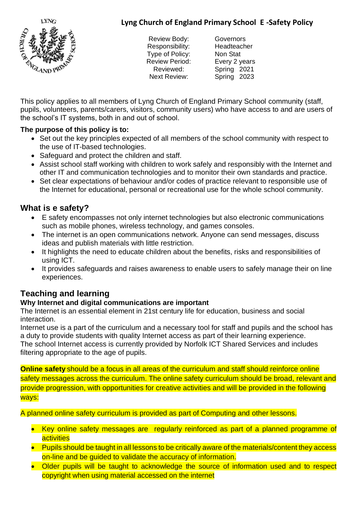# **Lyng Church of England Primary School E -Safety Policy**



Review Body: Governors Responsibility: Headteacher Type of Policy: Non Stat Review Period: Every 2 years Next Review: Spring 2023

Reviewed: Spring 2021

This policy applies to all members of Lyng Church of England Primary School community (staff, pupils, volunteers, parents/carers, visitors, community users) who have access to and are users of the school's IT systems, both in and out of school.

## **The purpose of this policy is to:**

- Set out the key principles expected of all members of the school community with respect to the use of IT-based technologies.
- Safeguard and protect the children and staff.
- Assist school staff working with children to work safely and responsibly with the Internet and other IT and communication technologies and to monitor their own standards and practice.
- Set clear expectations of behaviour and/or codes of practice relevant to responsible use of the Internet for educational, personal or recreational use for the whole school community.

# **What is e safety?**

- E safety encompasses not only internet technologies but also electronic communications such as mobile phones, wireless technology, and games consoles.
- The internet is an open communications network. Anyone can send messages, discuss ideas and publish materials with little restriction.
- It highlights the need to educate children about the benefits, risks and responsibilities of using ICT.
- It provides safeguards and raises awareness to enable users to safely manage their on line experiences.

# **Teaching and learning**

## **Why Internet and digital communications are important**

The Internet is an essential element in 21st century life for education, business and social interaction.

Internet use is a part of the curriculum and a necessary tool for staff and pupils and the school has a duty to provide students with quality Internet access as part of their learning experience. The school Internet access is currently provided by Norfolk ICT Shared Services and includes filtering appropriate to the age of pupils.

**Online safety** should be a focus in all areas of the curriculum and staff should reinforce online safety messages across the curriculum. The online safety curriculum should be broad, relevant and provide progression, with opportunities for creative activities and will be provided in the following ways:

A planned online safety curriculum is provided as part of Computing and other lessons.

- Key online safety messages are regularly reinforced as part of a planned programme of **activities**
- Pupils should be taught in all lessons to be critically aware of the materials/content they access on-line and be guided to validate the accuracy of information.
- Older pupils will be taught to acknowledge the source of information used and to respect copyright when using material accessed on the internet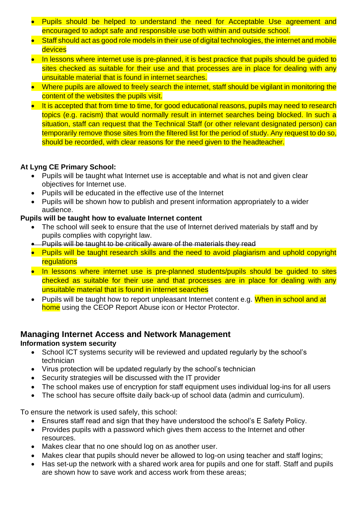- Pupils should be helped to understand the need for Acceptable Use agreement and encouraged to adopt safe and responsible use both within and outside school.
- Staff should act as good role models in their use of digital technologies, the internet and mobile **devices**
- In lessons where internet use is pre-planned, it is best practice that pupils should be guided to sites checked as suitable for their use and that processes are in place for dealing with any unsuitable material that is found in internet searches.
- Where pupils are allowed to freely search the internet, staff should be vigilant in monitoring the content of the websites the pupils visit.
- It is accepted that from time to time, for good educational reasons, pupils may need to research topics (e.g. racism) that would normally result in internet searches being blocked. In such a situation, staff can request that the Technical Staff (or other relevant designated person) can temporarily remove those sites from the filtered list for the period of study. Any request to do so, should be recorded, with clear reasons for the need given to the headteacher.

## **At Lyng CE Primary School:**

- Pupils will be taught what Internet use is acceptable and what is not and given clear objectives for Internet use.
- Pupils will be educated in the effective use of the Internet
- Pupils will be shown how to publish and present information appropriately to a wider audience.

## **Pupils will be taught how to evaluate Internet content**

- The school will seek to ensure that the use of Internet derived materials by staff and by pupils complies with copyright law.
- Pupils will be taught to be critically aware of the materials they read
- Pupils will be taught research skills and the need to avoid plagiarism and uphold copyright **regulations**
- In lessons where internet use is pre-planned students/pupils should be guided to sites checked as suitable for their use and that processes are in place for dealing with any unsuitable material that is found in internet searches
- Pupils will be taught how to report unpleasant Internet content e.g. When in school and at home using the CEOP Report Abuse icon or Hector Protector.

# **Managing Internet Access and Network Management**

#### **Information system security**

- School ICT systems security will be reviewed and updated regularly by the school's technician
- Virus protection will be updated regularly by the school's technician
- Security strategies will be discussed with the IT provider
- The school makes use of encryption for staff equipment uses individual log-ins for all users
- The school has secure offsite daily back-up of school data (admin and curriculum).

To ensure the network is used safely, this school:

- Ensures staff read and sign that they have understood the school's E Safety Policy.
- Provides pupils with a password which gives them access to the Internet and other resources.
- Makes clear that no one should log on as another user.
- Makes clear that pupils should never be allowed to log-on using teacher and staff logins;
- Has set-up the network with a shared work area for pupils and one for staff. Staff and pupils are shown how to save work and access work from these areas;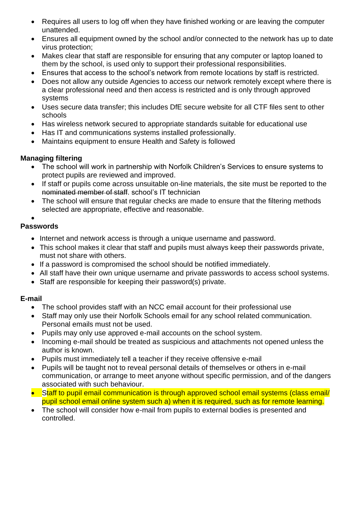- Requires all users to log off when they have finished working or are leaving the computer unattended.
- Ensures all equipment owned by the school and/or connected to the network has up to date virus protection;
- Makes clear that staff are responsible for ensuring that any computer or laptop loaned to them by the school, is used only to support their professional responsibilities.
- Ensures that access to the school's network from remote locations by staff is restricted.
- Does not allow any outside Agencies to access our network remotely except where there is a clear professional need and then access is restricted and is only through approved systems
- Uses secure data transfer; this includes DfE secure website for all CTF files sent to other schools
- Has wireless network secured to appropriate standards suitable for educational use
- Has IT and communications systems installed professionally.
- Maintains equipment to ensure Health and Safety is followed

#### **Managing filtering**

- The school will work in partnership with Norfolk Children's Services to ensure systems to protect pupils are reviewed and improved.
- If staff or pupils come across unsuitable on-line materials, the site must be reported to the nominated member of staff. school's IT technician
- The school will ensure that regular checks are made to ensure that the filtering methods selected are appropriate, effective and reasonable.

#### •

### **Passwords**

- Internet and network access is through a unique username and password.
- This school makes it clear that staff and pupils must always keep their passwords private, must not share with others.
- If a password is compromised the school should be notified immediately.
- All staff have their own unique username and private passwords to access school systems.
- Staff are responsible for keeping their password(s) private.

## **E-mail**

- The school provides staff with an NCC email account for their professional use
- Staff may only use their Norfolk Schools email for any school related communication. Personal emails must not be used.
- Pupils may only use approved e-mail accounts on the school system.
- Incoming e-mail should be treated as suspicious and attachments not opened unless the author is known.
- Pupils must immediately tell a teacher if they receive offensive e-mail
- Pupils will be taught not to reveal personal details of themselves or others in e-mail communication, or arrange to meet anyone without specific permission, and of the dangers associated with such behaviour.
- Staff to pupil email communication is through approved school email systems (class email/ pupil school email online system such a) when it is required, such as for remote learning.
- The school will consider how e-mail from pupils to external bodies is presented and controlled.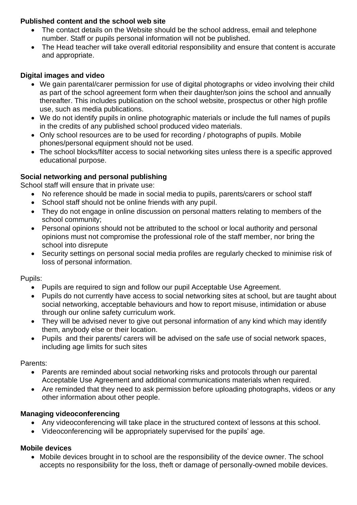### **Published content and the school web site**

- The contact details on the Website should be the school address, email and telephone number. Staff or pupils personal information will not be published.
- The Head teacher will take overall editorial responsibility and ensure that content is accurate and appropriate.

### **Digital images and video**

- We gain parental/carer permission for use of digital photographs or video involving their child as part of the school agreement form when their daughter/son joins the school and annually thereafter. This includes publication on the school website, prospectus or other high profile use, such as media publications.
- We do not identify pupils in online photographic materials or include the full names of pupils in the credits of any published school produced video materials.
- Only school resources are to be used for recording / photographs of pupils. Mobile phones/personal equipment should not be used.
- The school blocks/filter access to social networking sites unless there is a specific approved educational purpose.

### **Social networking and personal publishing**

School staff will ensure that in private use:

- No reference should be made in social media to pupils, parents/carers or school staff
- School staff should not be online friends with any pupil.
- They do not engage in online discussion on personal matters relating to members of the school community;
- Personal opinions should not be attributed to the school or local authority and personal opinions must not compromise the professional role of the staff member, nor bring the school into disrepute
- Security settings on personal social media profiles are regularly checked to minimise risk of loss of personal information.

Pupils:

- Pupils are required to sign and follow our pupil Acceptable Use Agreement.
- Pupils do not currently have access to social networking sites at school, but are taught about social networking, acceptable behaviours and how to report misuse, intimidation or abuse through our online safety curriculum work.
- They will be advised never to give out personal information of any kind which may identify them, anybody else or their location.
- Pupils and their parents/ carers will be advised on the safe use of social network spaces, including age limits for such sites

Parents:

- Parents are reminded about social networking risks and protocols through our parental Acceptable Use Agreement and additional communications materials when required.
- Are reminded that they need to ask permission before uploading photographs, videos or any other information about other people.

## **Managing videoconferencing**

- Any videoconferencing will take place in the structured context of lessons at this school.
- Videoconferencing will be appropriately supervised for the pupils' age.

#### **Mobile devices**

• Mobile devices brought in to school are the responsibility of the device owner. The school accepts no responsibility for the loss, theft or damage of personally-owned mobile devices.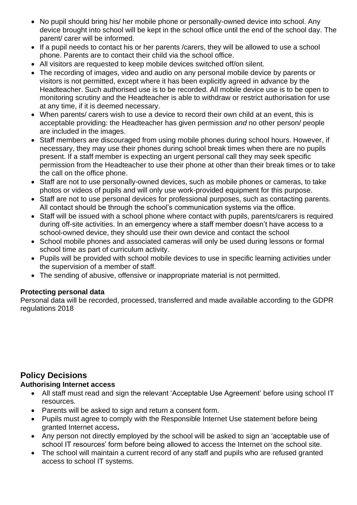- No pupil should bring his/ her mobile phone or personally-owned device into school. Any device brought into school will be kept in the school office until the end of the school day. The parent/ carer will be informed.
- If a pupil needs to contact his or her parents /carers, they will be allowed to use a school phone. Parents are to contact their child via the school office.
- All visitors are requested to keep mobile devices switched off/on silent.
- The recording of images, video and audio on any personal mobile device by parents or visitors is not permitted, except where it has been explicitly agreed in advance by the Headteacher. Such authorised use is to be recorded. All mobile device use is to be open to monitoring scrutiny and the Headteacher is able to withdraw or restrict authorisation for use at any time, if it is deemed necessary.
- When parents/ carers wish to use a device to record their own child at an event, this is acceptable providing: the Headteacher has given permission *and* no other person/ people are included in the images.
- Staff members are discouraged from using mobile phones during school hours. However, if necessary, they may use their phones during school break times when there are no pupils present. If a staff member is expecting an urgent personal call they may seek specific permission from the Headteacher to use their phone at other than their break times or to take the call on the office phone.
- Staff are not to use personally-owned devices, such as mobile phones or cameras, to take photos or videos of pupils and will only use work-provided equipment for this purpose.
- Staff are not to use personal devices for professional purposes, such as contacting parents. All contact should be through the school's communication systems via the office.
- Staff will be issued with a school phone where contact with pupils, parents/carers is required during off-site activities. In an emergency where a staff member doesn't have access to a school-owned device, they should use their own device and contact the school
- School mobile phones and associated cameras will only be used during lessons or formal school time as part of curriculum activity.
- Pupils will be provided with school mobile devices to use in specific learning activities under the supervision of a member of staff.
- The sending of abusive, offensive or inappropriate material is not permitted.

## **Protecting personal data**

Personal data will be recorded, processed, transferred and made available according to the GDPR regulations 2018

# **Policy Decisions**

#### **Authorising Internet access**

- All staff must read and sign the relevant 'Acceptable Use Agreement' before using school IT resources.
- Parents will be asked to sign and return a consent form.
- Pupils must agree to comply with the Responsible Internet Use statement before being granted Internet access**.**
- Any person not directly employed by the school will be asked to sign an 'acceptable use of school IT resources' form before being allowed to access the Internet on the school site.
- The school will maintain a current record of any staff and pupils who are refused granted access to school IT systems.